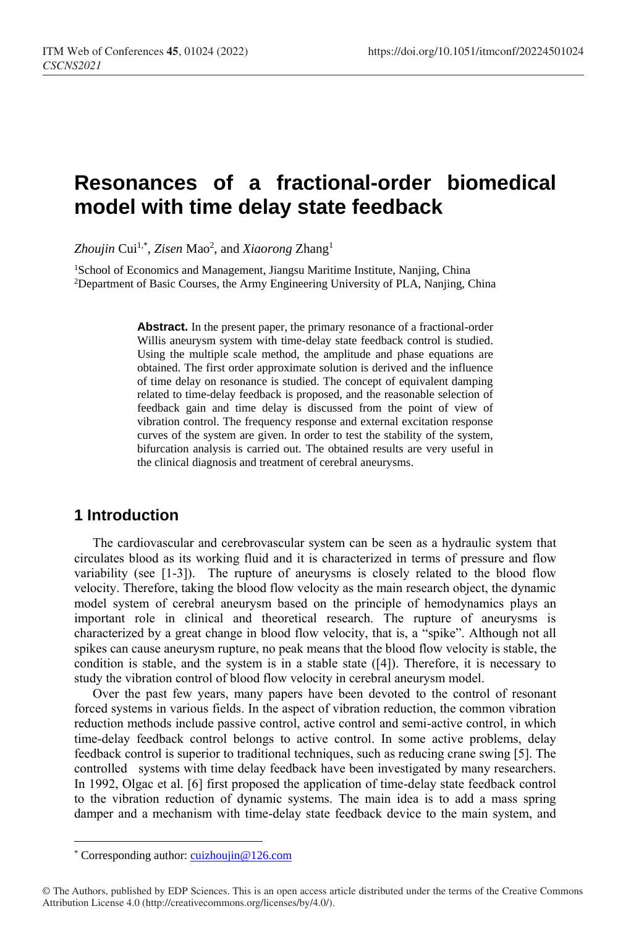# **Resonances of a fractional-order biomedical model with time delay state feedback**

*Zhoujin* Cui1,\* , *Zisen* Mao<sup>2</sup> , and *Xiaorong* Zhang<sup>1</sup>

<sup>1</sup>School of Economics and Management, Jiangsu Maritime Institute, Nanjing, China <sup>2</sup>Department of Basic Courses, the Army Engineering University of PLA, Nanjing, China

> Abstract. In the present paper, the primary resonance of a fractional-order Willis aneurysm system with time-delay state feedback control is studied. Using the multiple scale method, the amplitude and phase equations are obtained. The first order approximate solution is derived and the influence of time delay on resonance is studied. The concept of equivalent damping related to time-delay feedback is proposed, and the reasonable selection of feedback gain and time delay is discussed from the point of view of vibration control. The frequency response and external excitation response curves of the system are given. In order to test the stability of the system, bifurcation analysis is carried out. The obtained results are very useful in the clinical diagnosis and treatment of cerebral aneurysms.

## **1 Introduction**

The cardiovascular and cerebrovascular system can be seen as a hydraulic system that circulates blood as its working fluid and it is characterized in terms of pressure and flow variability (see [1-3]). The rupture of aneurysms is closely related to the blood flow velocity. Therefore, taking the blood flow velocity as the main research object, the dynamic model system of cerebral aneurysm based on the principle of hemodynamics plays an important role in clinical and theoretical research. The rupture of aneurysms is characterized by a great change in blood flow velocity, that is, a "spike". Although not all spikes can cause aneurysm rupture, no peak means that the blood flow velocity is stable, the condition is stable, and the system is in a stable state  $(14)$ . Therefore, it is necessary to study the vibration control of blood flow velocity in cerebral aneurysm model.

Over the past few years, many papers have been devoted to the control of resonant forced systems in various fields. In the aspect of vibration reduction, the common vibration reduction methods include passive control, active control and semi-active control, in which time-delay feedback control belongs to active control. In some active problems, delay feedback control is superior to traditional techniques, such as reducing crane swing [5]. The controlled systems with time delay feedback have been investigated by many researchers. In 1992, Olgac et al. [6] first proposed the application of time-delay state feedback control to the vibration reduction of dynamic systems. The main idea is to add a mass spring damper and a mechanism with time-delay state feedback device to the main system, and

 $\overline{a}$ 

<sup>\*</sup> Corresponding author[: cuizhoujin@126.com](mailto:cuizhoujin@126.com)

<sup>©</sup> The Authors, published by EDP Sciences. This is an open access article distributed under the terms of the Creative Commons Attribution License 4.0 (http://creativecommons.org/licenses/by/4.0/).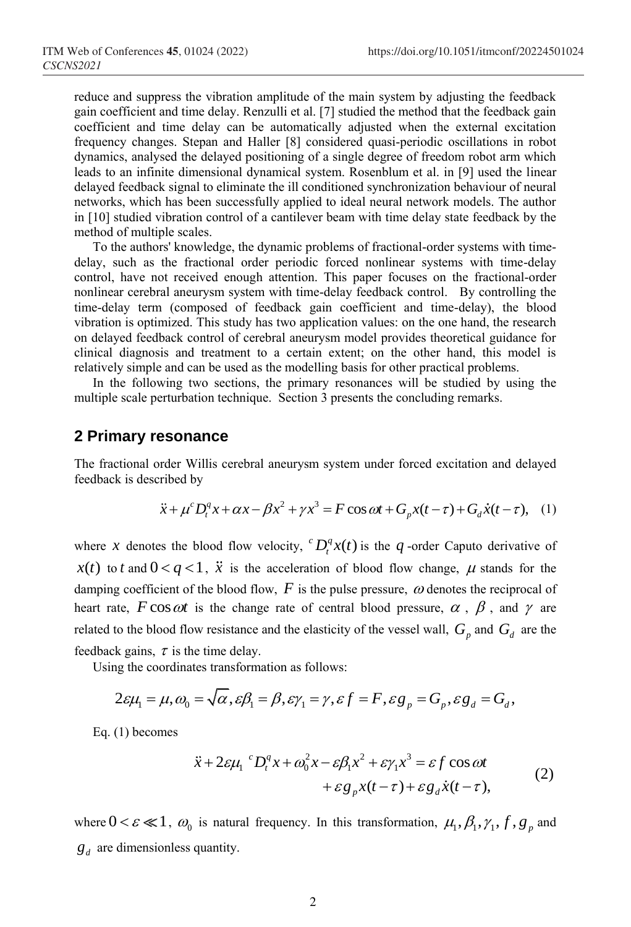reduce and suppress the vibration amplitude of the main system by adjusting the feedback gain coefficient and time delay. Renzulli et al. [7] studied the method that the feedback gain coefficient and time delay can be automatically adjusted when the external excitation frequency changes. Stepan and Haller [8] considered quasi-periodic oscillations in robot dynamics, analysed the delayed positioning of a single degree of freedom robot arm which leads to an infinite dimensional dynamical system. Rosenblum et al. in [9] used the linear delayed feedback signal to eliminate the ill conditioned synchronization behaviour of neural networks, which has been successfully applied to ideal neural network models. The author in [10] studied vibration control of a cantilever beam with time delay state feedback by the method of multiple scales.

To the authors' knowledge, the dynamic problems of fractional-order systems with timedelay, such as the fractional order periodic forced nonlinear systems with time-delay control, have not received enough attention. This paper focuses on the fractional-order nonlinear cerebral aneurysm system with time-delay feedback control. By controlling the time-delay term (composed of feedback gain coefficient and time-delay), the blood vibration is optimized. This study has two application values: on the one hand, the research on delayed feedback control of cerebral aneurysm model provides theoretical guidance for clinical diagnosis and treatment to a certain extent; on the other hand, this model is relatively simple and can be used as the modelling basis for other practical problems.

In the following two sections, the primary resonances will be studied by using the multiple scale perturbation technique. Section 3 presents the concluding remarks.

#### **2 Primary resonance**

The fractional order Willis cerebral aneurysm system under forced excitation and delayed feedback is described by<br>  $\ddot{x} + \mu^c D_t^q x + \alpha x - \beta x^2 + \gamma x^3 = F \cos \omega t + G_p x(t - \tau) + G_d \dot{x}(t - \tau)$ , (1) feedback is described by

$$
\ddot{x} + \mu^c D_t^q x + \alpha x - \beta x^2 + \gamma x^3 = F \cos \omega t + G_p x(t - \tau) + G_d \dot{x}(t - \tau), \quad (1)
$$

where x denotes the blood flow velocity,  ${}^{c}D_{t}^{q}x(t)$  is the q-order Caputo derivative of  $x(t)$  to *t* and  $0 < q < 1$ ,  $\ddot{x}$  is the acceleration of blood flow change,  $\mu$  stands for the damping coefficient of the blood flow,  $F$  is the pulse pressure,  $\omega$  denotes the reciprocal of heart rate,  $F \cos \omega t$  is the change rate of central blood pressure,  $\alpha$ ,  $\beta$ , and  $\gamma$  are related to the blood flow resistance and the elasticity of the vessel wall,  $G_p$  and  $G_d$  are the feedback gains,  $\tau$  is the time delay.

Using the coordinates transformation as follows:

ck gains, 
$$
\tau
$$
 is the time delay.  
ng the coordinates transformation as follows:  

$$
2\varepsilon\mu_1 = \mu, \omega_0 = \sqrt{\alpha}, \varepsilon\beta_1 = \beta, \varepsilon\gamma_1 = \gamma, \varepsilon f = F, \varepsilon g_p = G_p, \varepsilon g_d = G_d,
$$

Eq. (1) becomes

$$
\ddot{x} + 2\varepsilon \mu_1^c D_t^q x + \omega_0^2 x - \varepsilon \beta_1 x^2 + \varepsilon \gamma_1 x^3 = \varepsilon f \cos \omega t \n+ \varepsilon g_p x(t - \tau) + \varepsilon g_d \dot{x}(t - \tau),
$$
\n(2)

where  $0 < \varepsilon \ll 1$ ,  $\omega_0$  is natural frequency. In this transformation,  $\mu_1, \beta_1, \gamma_1, f, g_p$  and  $g_d$  are dimensionless quantity.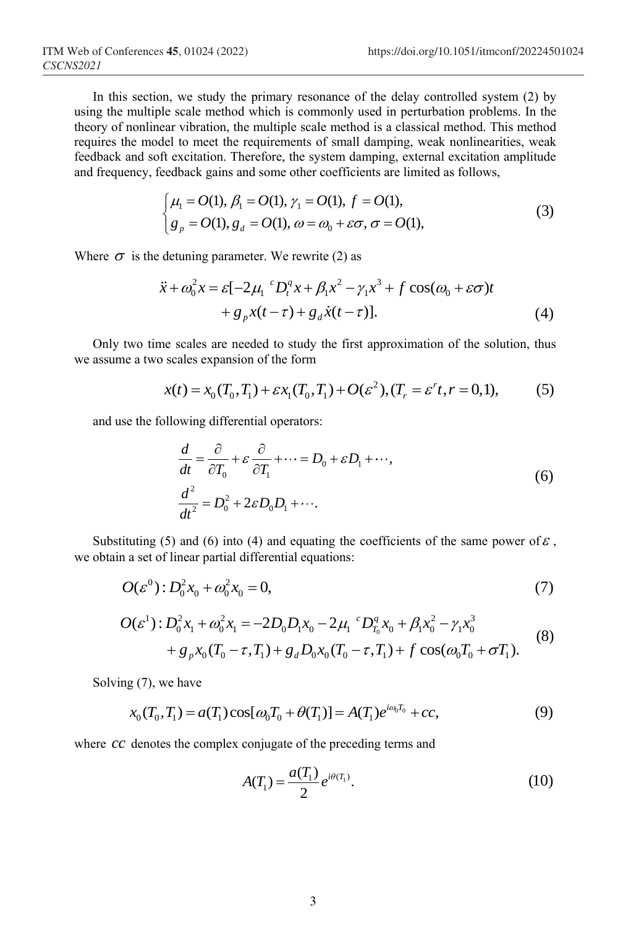In this section, we study the primary resonance of the delay controlled system (2) by using the multiple scale method which is commonly used in perturbation problems. In the theory of nonlinear vibration, the multiple scale method is a classical method. This method requires the model to meet the requirements of small damping, weak nonlinearities, weak feedback and soft excitation. Therefore, the system damping, external excitation amplitude

and frequency, feedback gains and some other coefficients are limited as follows,  
\n
$$
\begin{cases}\n\mu_1 = O(1), \beta_1 = O(1), \gamma_1 = O(1), f = O(1), \\
g_p = O(1), g_d = O(1), \omega = \omega_0 + \varepsilon\sigma, \sigma = O(1),\n\end{cases}
$$
\n(3)

Where 
$$
\sigma
$$
 is the detuning parameter. We rewrite (2) as  
\n
$$
\ddot{x} + \omega_0^2 x = \varepsilon [-2\mu_1^c D_t^q x + \beta_1 x^2 - \gamma_1 x^3 + f \cos(\omega_0 + \varepsilon \sigma) t + g_p x(t - \tau) + g_d \dot{x}(t - \tau)].
$$
\n(4)

Only two time scales are needed to study the first approximation of the solution, thus We assume a two scales expansion of the form<br>  $x(t) = x_0(T_0, T_1) + \varepsilon x_1(T_0, T_1) + O(\varepsilon^2), (T_r = \varepsilon^r t, r = 0, 1),$ 

scales are needed to study the first approximation of the solution, thus  
scales expansion of the form  

$$
x(t) = x_0(T_0, T_1) + \varepsilon x_1(T_0, T_1) + O(\varepsilon^2), (T_r = \varepsilon^r t, r = 0, 1),
$$
 (5)

and use the following differential operators:<br> $\frac{d}{dt} = \frac{\partial}{\partial t} + \epsilon \frac{\partial}{\partial t} + \epsilon \frac{\partial}{\partial t} + \epsilon \frac{\partial}{\partial t} + \epsilon \frac{\partial}{\partial t} + \epsilon \frac{\partial}{\partial t} + \epsilon \frac{\partial}{\partial t} + \epsilon \frac{\partial}{\partial t} + \epsilon \frac{\partial}{\partial t} + \epsilon \frac{\partial}{\partial t} + \epsilon \frac{\partial}{\partial t} + \epsilon \frac{\partial}{\partial t} + \epsilon \frac{\partial}{\partial t} + \epsilon \frac{\partial}{\partial t} +$ 

$$
\frac{d}{dt} = \frac{\partial}{\partial T_0} + \varepsilon \frac{\partial}{\partial T_1} + \dots = D_0 + \varepsilon D_1 + \dots,
$$
  

$$
\frac{d^2}{dt^2} = D_0^2 + 2\varepsilon D_0 D_1 + \dots.
$$
 (6)

Substituting (5) and (6) into (4) and equating the coefficients of the same power of  $\varepsilon$ , we obtain a set of linear partial differential equations:

$$
O(\varepsilon^{0}): D_{0}^{2} x_{0} + \omega_{0}^{2} x_{0} = 0, \qquad (7)
$$

$$
O(\varepsilon^{0}): D_{0}^{2} x_{0} + \omega_{0}^{2} x_{0} = 0,
$$
\n
$$
O(\varepsilon^{1}): D_{0}^{2} x_{1} + \omega_{0}^{2} x_{1} = -2D_{0} D_{1} x_{0} - 2\mu_{1}^{c} D_{T_{0}}^{q} x_{0} + \beta_{1} x_{0}^{2} - \gamma_{1} x_{0}^{3}
$$
\n
$$
+ g_{p} x_{0} (T_{0} - \tau, T_{1}) + g_{d} D_{0} x_{0} (T_{0} - \tau, T_{1}) + f \cos(\omega_{0} T_{0} + \sigma T_{1}).
$$
\n(8)

Solving (7), we have

g (7), we have  
\n
$$
x_0(T_0, T_1) = a(T_1) \cos[\omega_0 T_0 + \theta(T_1)] = A(T_1) e^{i\omega_0 T_0} + cc,
$$
\n(9)

where *cc* denotes the complex conjugate of the preceding terms and

$$
A(T_1) = \frac{a(T_1)}{2} e^{i\theta(T_1)}.
$$
 (10)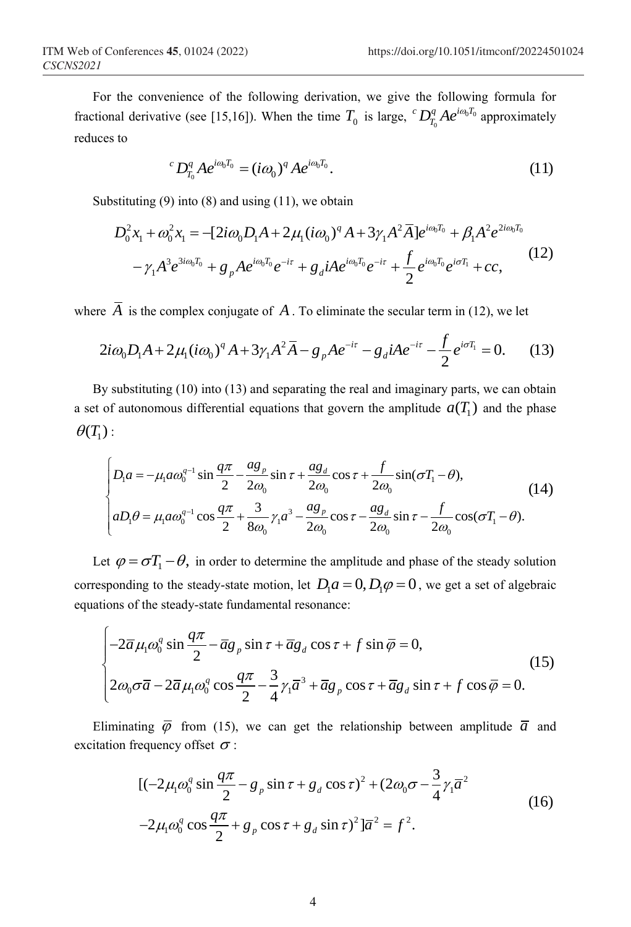For the convenience of the following derivation, we give the following formula for fractional derivative (see [15,16]). When the time  $T_0$  is large,  ${}^cD_{T_0}^qAe^{i\omega_0I_0}$  $^{c}D_{T_{0}}^{q}Ae^{i\omega_{0}T_{0}}$  approximately reduces to

$$
{}^{c}D_{T_{0}}^{q}Ae^{i\omega_{0}T_{0}} = (i\omega_{0})^{q}Ae^{i\omega_{0}T_{0}}.
$$
\n(11)

Substituting (9) into (8) and using (11), we obtain  
\n
$$
D_0^2 x_1 + \omega_0^2 x_1 = -[2i\omega_0 D_1 A + 2\mu_1 (i\omega_0)^q A + 3\gamma_1 A^2 \overline{A}] e^{i\omega_0 T_0} + \beta_1 A^2 e^{2i\omega_0 T_0} - \gamma_1 A^3 e^{3i\omega_0 T_0} + g_p A e^{i\omega_0 T_0} e^{-i\tau} + g_d iA e^{i\omega_0 T_0} e^{-i\tau} + \frac{f}{2} e^{i\omega_0 T_0} e^{i\sigma T_1} + cc,
$$
\n(12)

where 
$$
\overline{A}
$$
 is the complex conjugate of A. To eliminate the secular term in (12), we let  
\n
$$
2i\omega_0 D_1 A + 2\mu_1 (i\omega_0)^q A + 3\gamma_1 A^2 \overline{A} - g_p A e^{-i\tau} - g_d iA e^{-i\tau} - \frac{f}{2} e^{i\sigma T_1} = 0.
$$
 (13)

By substituting (10) into (13) and separating the real and imaginary parts, we can obtain a set of autonomous differential equations that govern the amplitude  $a(T_1)$  and the phase  $\theta(T_1)$  :

$$
\left\{\n\begin{aligned}\nD_1 a &= -\mu_1 a \omega_0^{q-1} \sin \frac{q\pi}{2} - \frac{a g_p}{2 \omega_0} \sin \tau + \frac{a g_d}{2 \omega_0} \cos \tau + \frac{f}{2 \omega_0} \sin(\sigma T_1 - \theta), \\
a D_1 \theta &= \mu_1 a \omega_0^{q-1} \cos \frac{q\pi}{2} + \frac{3}{8 \omega_0} \gamma_1 a^3 - \frac{a g_p}{2 \omega_0} \cos \tau - \frac{a g_d}{2 \omega_0} \sin \tau - \frac{f}{2 \omega_0} \cos(\sigma T_1 - \theta).\n\end{aligned}\n\right\}
$$
\n(14)

Let  $\varphi = \sigma T_1 - \theta$ , in order to determine the amplitude and phase of the steady solution corresponding to the steady-state motion, let  $D_1 a = 0$ ,  $D_1 \varphi = 0$ , we get a set of algebraic

equations of the steady-state fundamental resonance:  
\n
$$
\begin{cases}\n-2\overline{\alpha}\mu_1\omega_0^q \sin\frac{q\pi}{2} - \overline{\alpha}g_p \sin\tau + \overline{\alpha}g_d \cos\tau + f \sin\overline{\varphi} = 0, \\
2\omega_0\sigma\overline{a} - 2\overline{\alpha}\mu_1\omega_0^q \cos\frac{q\pi}{2} - \frac{3}{4}\gamma_1\overline{a}^3 + \overline{\alpha}g_p \cos\tau + \overline{\alpha}g_d \sin\tau + f \cos\overline{\varphi} = 0.\n\end{cases}
$$
\n(15)

Eliminating  $\bar{\varphi}$  from (15), we can get the relationship between amplitude  $\bar{a}$  and excitation frequency offset  $\sigma$ :

$$
[(-2\mu_1 \omega_0^q \sin \frac{q\pi}{2} - g_p \sin \tau + g_d \cos \tau)^2 + (2\omega_0 \sigma - \frac{3}{4} \gamma_1 \overline{a}^2
$$
  

$$
-2\mu_1 \omega_0^q \cos \frac{q\pi}{2} + g_p \cos \tau + g_d \sin \tau)^2 ]\overline{a}^2 = f^2.
$$
 (16)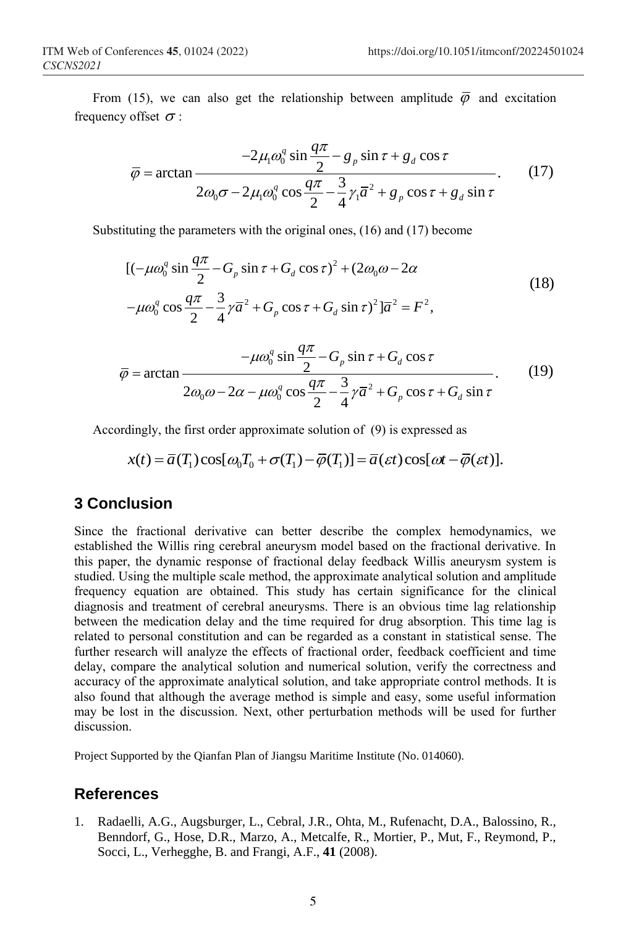From (15), we can also get the relationship between amplitude  $\bar{\varphi}$  and excitation frequency offset  $\sigma$ :

offset 
$$
\sigma
$$
:  
\n
$$
\overline{\varphi} = \arctan \frac{-2\mu_1 \omega_0^q \sin \frac{q\pi}{2} - g_p \sin \tau + g_d \cos \tau}{2\omega_0 \sigma - 2\mu_1 \omega_0^q \cos \frac{q\pi}{2} - \frac{3}{4} \gamma_1 \overline{a}^2 + g_p \cos \tau + g_d \sin \tau}.
$$
\n(17)

Substituting the parameters with the original ones, (16) and (17) become  
\n
$$
[(-\mu\omega_0^q \sin \frac{q\pi}{2} - G_p \sin \tau + G_d \cos \tau)^2 + (2\omega_0 \omega - 2\alpha
$$
\n
$$
-\mu\omega_0^q \cos \frac{q\pi}{2} - \frac{3}{4}\gamma \overline{a}^2 + G_p \cos \tau + G_d \sin \tau)^2] \overline{a}^2 = F^2,
$$
\n(18)

$$
\overline{\varphi} = \arctan \frac{-\mu \omega_0^q \sin \frac{q\pi}{2} - G_p \sin \tau + G_d \cos \tau}{2\omega_0 \omega - 2\alpha - \mu \omega_0^q \cos \frac{q\pi}{2} - \frac{3}{4} \gamma \overline{a}^2 + G_p \cos \tau + G_d \sin \tau}.
$$
(19)

Accordingly, the first order approximate solution of (9) is expressed as

dingly, the first order approximate solution of (9) is expressed as  
\n
$$
x(t) = \overline{a}(T_1)\cos[\omega_0 T_0 + \sigma(T_1) - \overline{\varphi}(T_1)] = \overline{a}(\varepsilon t)\cos[\omega t - \overline{\varphi}(\varepsilon t)].
$$

## **3 Conclusion**

Since the fractional derivative can better describe the complex hemodynamics, we established the Willis ring cerebral aneurysm model based on the fractional derivative. In this paper, the dynamic response of fractional delay feedback Willis aneurysm system is studied. Using the multiple scale method, the approximate analytical solution and amplitude frequency equation are obtained. This study has certain significance for the clinical diagnosis and treatment of cerebral aneurysms. There is an obvious time lag relationship between the medication delay and the time required for drug absorption. This time lag is related to personal constitution and can be regarded as a constant in statistical sense. The further research will analyze the effects of fractional order, feedback coefficient and time delay, compare the analytical solution and numerical solution, verify the correctness and accuracy of the approximate analytical solution, and take appropriate control methods. It is also found that although the average method is simple and easy, some useful information may be lost in the discussion. Next, other perturbation methods will be used for further discussion.

Project Supported by the Qianfan Plan of Jiangsu Maritime Institute (No. 014060).

### **References**

1. Radaelli, A.G., Augsburger, L., Cebral, J.R., Ohta, M., Rufenacht, D.A., Balossino, R., Benndorf, G., Hose, D.R., Marzo, A., Metcalfe, R., Mortier, P., Mut, F., Reymond, P., Socci, L., Verhegghe, B. and Frangi, A.F., **41** (2008).